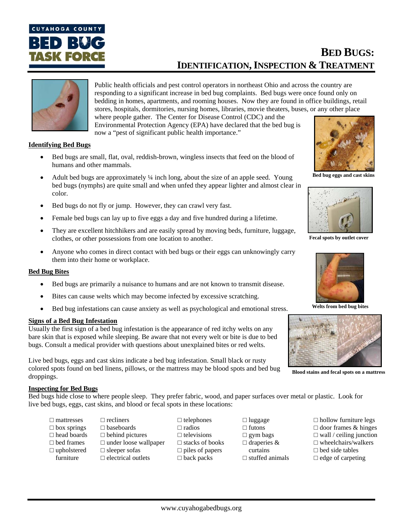

# **BED BUGS: IDENTIFICATION, INSPECTION & TREATMENT**



Public health officials and pest control operators in northeast Ohio and across the country are responding to a significant increase in bed bug complaints. Bed bugs were once found only on bedding in homes, apartments, and rooming houses. Now they are found in office buildings, retail stores, hospitals, dormitories, nursing homes, libraries, movie theaters, buses, or any other place where people gather. The Center for Disease Control (CDC) and the

Environmental Protection Agency (EPA) have declared that the bed bug is now a "pest of significant public health importance."

# **Identifying Bed Bugs**

- Bed bugs are small, flat, oval, reddish-brown, wingless insects that feed on the blood of humans and other mammals.
- Adult bed bugs are approximately ¼ inch long, about the size of an apple seed. Young bed bugs (nymphs) are quite small and when unfed they appear lighter and almost clear in color.
- Bed bugs do not fly or jump. However, they can crawl very fast.
- Female bed bugs can lay up to five eggs a day and five hundred during a lifetime.
- They are excellent hitchhikers and are easily spread by moving beds, furniture, luggage, clothes, or other possessions from one location to another.
- Anyone who comes in direct contact with bed bugs or their eggs can unknowingly carry them into their home or workplace.

### **Bed Bug Bites**

- Bed bugs are primarily a nuisance to humans and are not known to transmit disease.
- Bites can cause welts which may become infected by excessive scratching.
- Bed bug infestations can cause anxiety as well as psychological and emotional stress.

### **Signs of a Bed Bug Infestation**

Usually the first sign of a bed bug infestation is the appearance of red itchy welts on any bare skin that is exposed while sleeping. Be aware that not every welt or bite is due to bed bugs. Consult a medical provider with questions about unexplained bites or red welts.

Live bed bugs, eggs and cast skins indicate a bed bug infestation. Small black or rusty colored spots found on bed linens, pillows, or the mattress may be blood spots and bed bug droppings.

**Bed bug eggs and cast skins**



**Fecal spots by outlet cover** 



**Welts from bed bug bites** 



**Blood stains and fecal spots on a mattress**

### **Inspecting for Bed Bugs**

Bed bugs hide close to where people sleep. They prefer fabric, wood, and paper surfaces over metal or plastic. Look for live bed bugs, eggs, cast skins, and blood or fecal spots in these locations:

- $\Box$  mattresses  $\Box$  box springs □ head boards □ bed frames □ upholstered furniture
- □ baseboards □ behind pictures □ under loose wallpaper □ sleeper sofas □ electrical outlets

□ recliners

- □ telephones □ radios  $\square$  televisions □ stacks of books  $\square$  piles of papers □ back packs
- □ luggage □ futons □ gym bags □ draperies & curtains  $\square$  stuffed animals
- $\Box$  hollow furniture legs □ door frames & hinges
- $\Box$  wall / ceiling junction
- □ wheelchairs/walkers
- $\Box$  bed side tables
- $\Box$  edge of carpeting